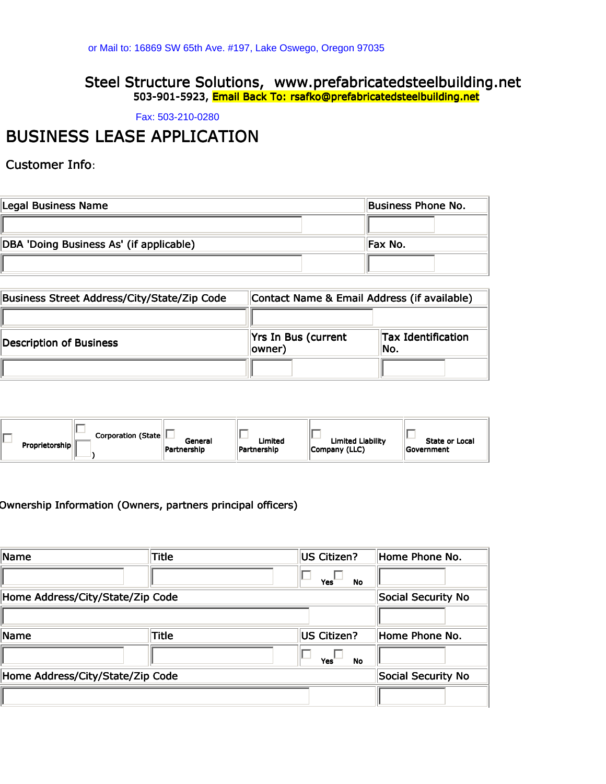# Steel Structure Solutions, www.prefabricatedsteelbuilding.net 503-901-5923, Email Back To: rsafko@prefabricatedsteelbuilding.net or Mail to: 16869 SW 65th Ave. #197, Lake Oswego, Oregon 97035<br>**Steel Structure Solutions, WWW.prefabrica**<br>503-901-5923, Email Back To: rsafko@prefabricat<br>Fax: 503-210-0280

## BUSINESS LEASE APPLICATION

Customer Info:

| Legal Business Name                     | Business Phone No. |  |
|-----------------------------------------|--------------------|--|
|                                         |                    |  |
| DBA 'Doing Business As' (if applicable) | Fax No.            |  |
|                                         |                    |  |

| Business Street Address/City/State/Zip Code | Contact Name & Email Address (if available) |                                   |  |
|---------------------------------------------|---------------------------------------------|-----------------------------------|--|
|                                             |                                             |                                   |  |
| Description of Business                     | Yrs In Bus (current<br>owner)               | <b>Tax Identification</b><br>lNo. |  |
|                                             |                                             |                                   |  |

| Corporation (State  L | General     | Limited     | <b>Limited Liability</b> | State or Local    |
|-----------------------|-------------|-------------|--------------------------|-------------------|
| Proprietorship        | Partnership | Partnership | Company (LLC)            | <b>Government</b> |

#### Ownership Information (Owners, partners principal officers)

| Name                             | Title              | US Citizen?      | Home Phone No.     |
|----------------------------------|--------------------|------------------|--------------------|
|                                  |                    | Yes<br><b>No</b> |                    |
| Home Address/City/State/Zip Code | Social Security No |                  |                    |
|                                  |                    |                  |                    |
| Name                             | Title              | US Citizen?      | Home Phone No.     |
|                                  |                    |                  |                    |
|                                  |                    | Yes<br>No        |                    |
| Home Address/City/State/Zip Code |                    |                  | Social Security No |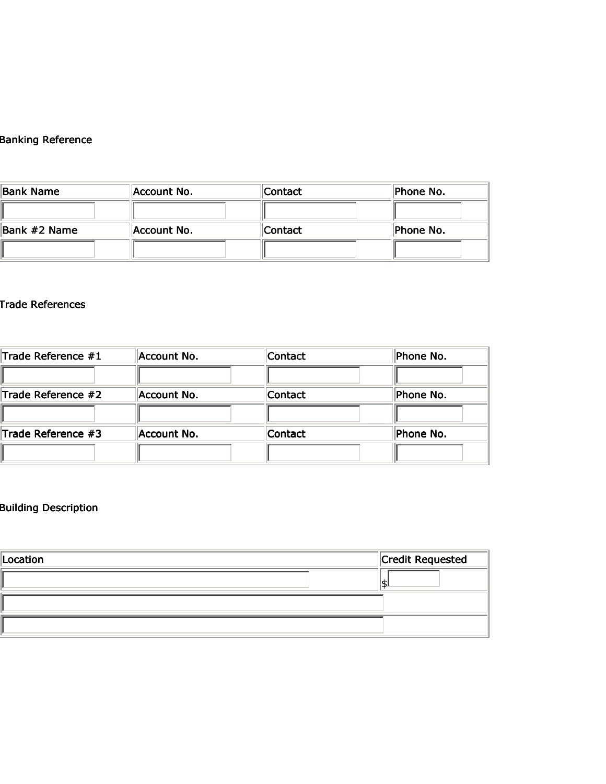## Banking Reference

| <b>Bank Name</b> | Account No. | <b>Contact</b> | Phone No. |
|------------------|-------------|----------------|-----------|
|                  |             |                |           |
| Bank #2 Name     | Account No. | Contact        | Phone No. |
|                  |             |                |           |

#### Trade References

| Trade Reference #1 | Account No. | Contact | Phone No. |
|--------------------|-------------|---------|-----------|
|                    |             |         |           |
| Trade Reference #2 | Account No. | Contact | Phone No. |
|                    |             |         |           |
| Trade Reference #3 | Account No. | Contact | Phone No. |
|                    |             |         |           |

## Building Description

| Location |  | Credit Requested |  |
|----------|--|------------------|--|
|          |  | J.               |  |
|          |  |                  |  |
|          |  |                  |  |